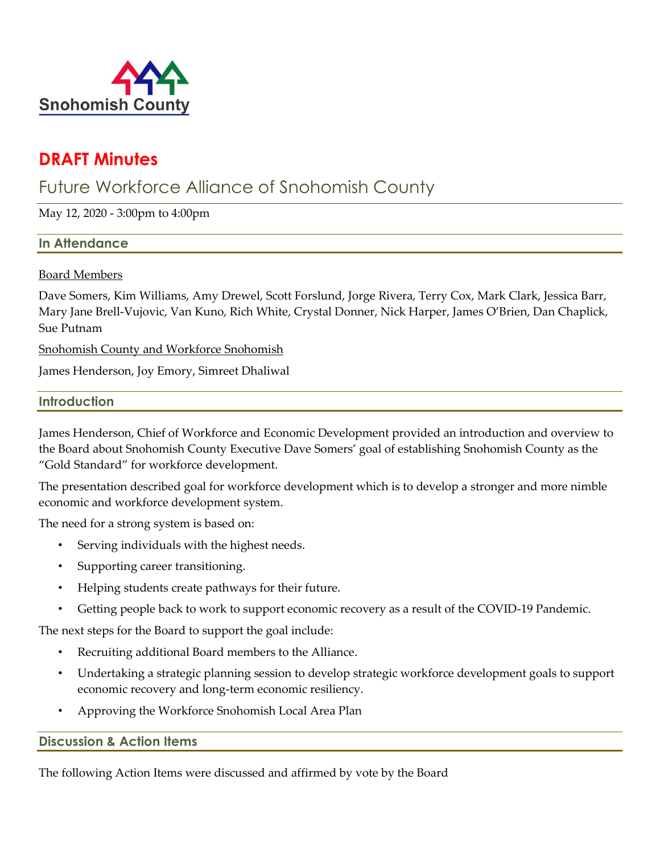

# **DRAFT Minutes**

# Future Workforce Alliance of Snohomish County

May 12, 2020 - 3:00pm to 4:00pm

# **In Attendance**

# Board Members

Dave Somers, Kim Williams, Amy Drewel, Scott Forslund, Jorge Rivera, Terry Cox, Mark Clark, Jessica Barr, Mary Jane Brell-Vujovic, Van Kuno, Rich White, Crystal Donner, Nick Harper, James O'Brien, Dan Chaplick, Sue Putnam

Snohomish County and Workforce Snohomish

James Henderson, Joy Emory, Simreet Dhaliwal

# **Introduction**

James Henderson, Chief of Workforce and Economic Development provided an introduction and overview to the Board about Snohomish County Executive Dave Somers' goal of establishing Snohomish County as the "Gold Standard" for workforce development.

The presentation described goal for workforce development which is to develop a stronger and more nimble economic and workforce development system.

The need for a strong system is based on:

- Serving individuals with the highest needs.
- Supporting career transitioning.
- Helping students create pathways for their future.
- Getting people back to work to support economic recovery as a result of the COVID-19 Pandemic.

The next steps for the Board to support the goal include:

- Recruiting additional Board members to the Alliance.
- Undertaking a strategic planning session to develop strategic workforce development goals to support economic recovery and long-term economic resiliency.
- Approving the Workforce Snohomish Local Area Plan

# **Discussion & Action Items**

The following Action Items were discussed and affirmed by vote by the Board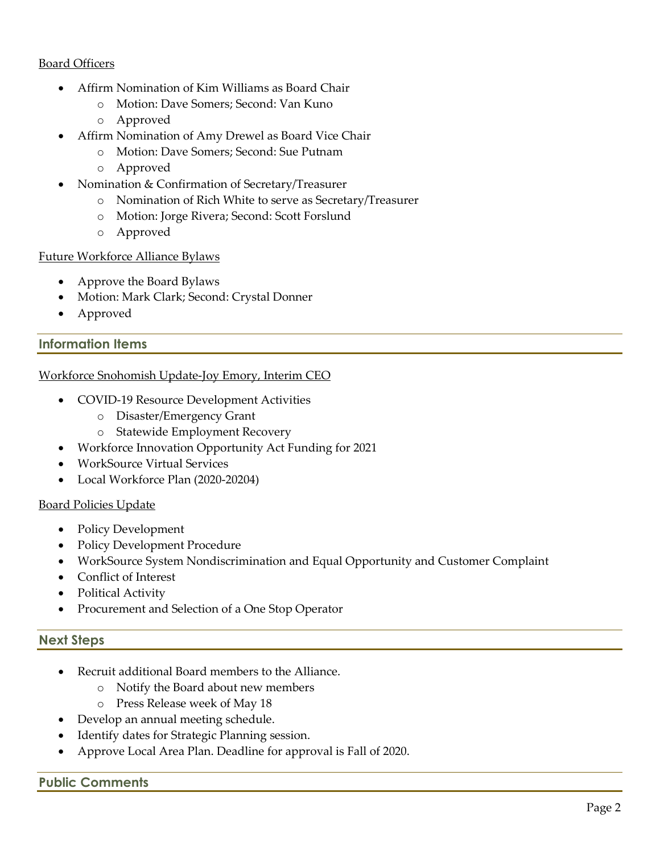# Board Officers

- Affirm Nomination of Kim Williams as Board Chair
	- o Motion: Dave Somers; Second: Van Kuno
	- o Approved
- Affirm Nomination of Amy Drewel as Board Vice Chair
	- o Motion: Dave Somers; Second: Sue Putnam
	- o Approved
- Nomination & Confirmation of Secretary/Treasurer
	- o Nomination of Rich White to serve as Secretary/Treasurer
	- o Motion: Jorge Rivera; Second: Scott Forslund
	- o Approved

#### Future Workforce Alliance Bylaws

- Approve the Board Bylaws
- Motion: Mark Clark; Second: Crystal Donner
- Approved

# **Information Items**

#### Workforce Snohomish Update-Joy Emory, Interim CEO

- COVID-19 Resource Development Activities
	- o Disaster/Emergency Grant
	- o Statewide Employment Recovery
- Workforce Innovation Opportunity Act Funding for 2021
- WorkSource Virtual Services
- Local Workforce Plan (2020-20204)

#### Board Policies Update

- Policy Development
- Policy Development Procedure
- WorkSource System Nondiscrimination and Equal Opportunity and Customer Complaint
- Conflict of Interest
- Political Activity
- Procurement and Selection of a One Stop Operator

#### **Next Steps**

- Recruit additional Board members to the Alliance.
	- o Notify the Board about new members
	- o Press Release week of May 18
- Develop an annual meeting schedule.
- Identify dates for Strategic Planning session.
- Approve Local Area Plan. Deadline for approval is Fall of 2020.

#### **Public Comments**